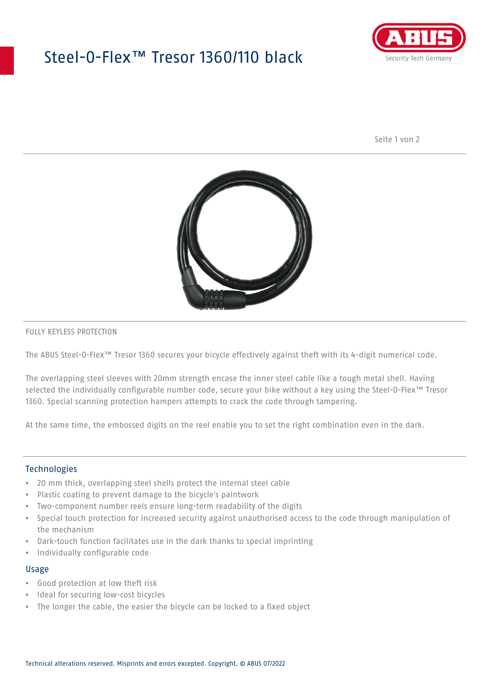# Steel-O-Flex™ Tresor 1360/110 black



Seite 1 von 2



#### FULLY KEYLESS PROTECTION

The ABUS Steel-O-Flex™ Tresor 1360 secures your bicycle effectively against theft with its 4-digit numerical code.

The overlapping steel sleeves with 20mm strength encase the inner steel cable like a tough metal shell. Having selected the individually configurable number code, secure your bike without a key using the Steel-O-Flex™ Tresor 1360. Special scanning protection hampers attempts to crack the code through tampering.

At the same time, the embossed digits on the reel enable you to set the right combination even in the dark.

### Technologies

- 20 mm thick, overlapping steel shells protect the internal steel cable
- Plastic coating to prevent damage to the bicycle's paintwork
- Two-component number reels ensure long-term readability of the digits
- Special touch protection for increased security against unauthorised access to the code through manipulation of the mechanism
- Dark-touch function facilitates use in the dark thanks to special imprinting
- Individually configurable code

#### Usage

- Good protection at low theft risk
- Ideal for securing low-cost bicycles
- The longer the cable, the easier the bicycle can be locked to a fixed object